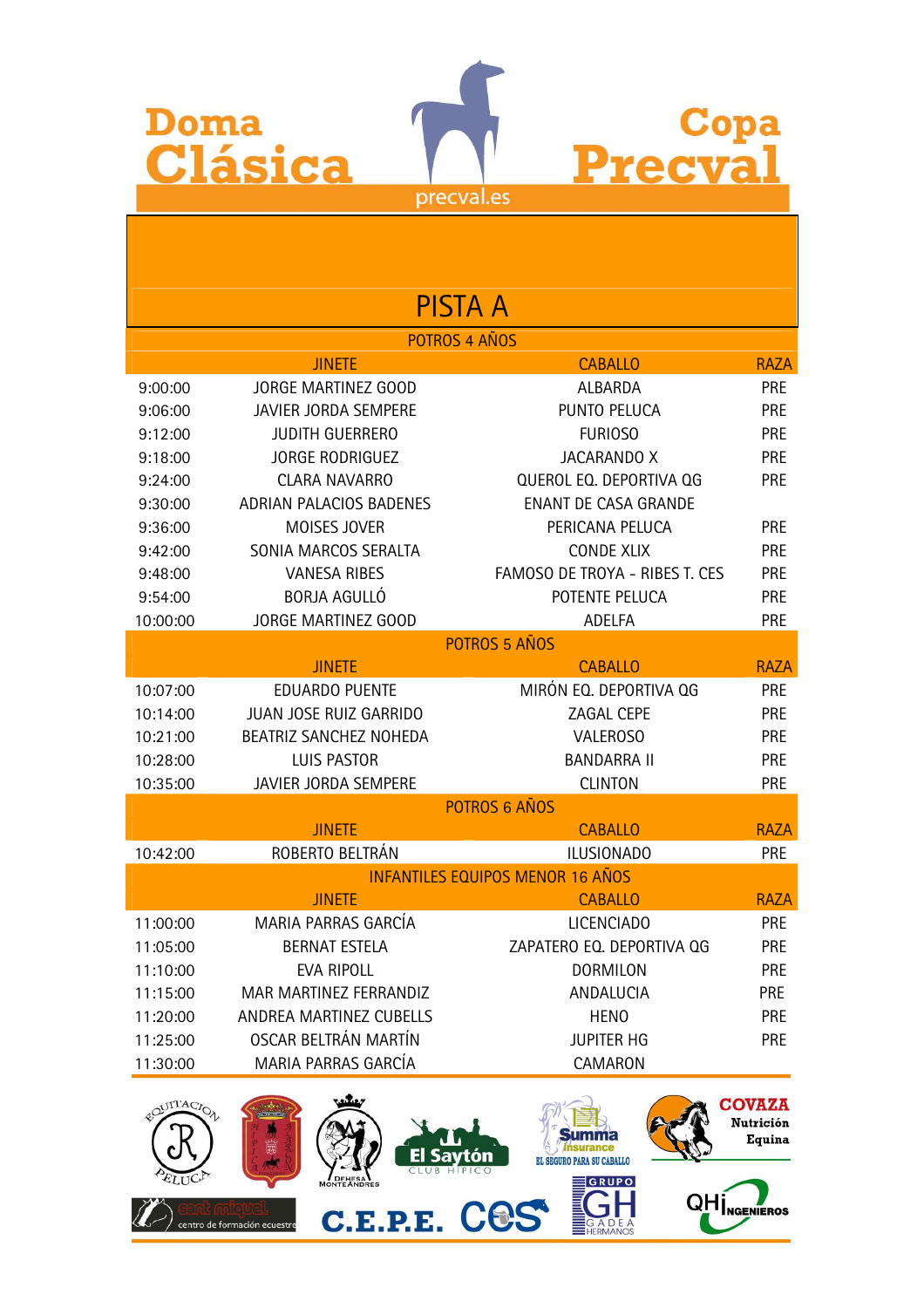| Doma     | <b>Clásica</b>                 | Copa<br>Precva                          |             |
|----------|--------------------------------|-----------------------------------------|-------------|
|          | precval.es                     |                                         |             |
|          |                                |                                         |             |
|          |                                |                                         |             |
|          |                                |                                         |             |
|          | <b>PISTA A</b>                 |                                         |             |
|          | POTROS 4 AÑOS                  |                                         |             |
|          | <b>JINETE</b>                  | <b>CABALLO</b>                          | <b>RAZA</b> |
| 9:00:00  | JORGE MARTINEZ GOOD            | ALBARDA                                 | <b>PRE</b>  |
| 9:06:00  | JAVIER JORDA SEMPERE           | PUNTO PELUCA                            | <b>PRE</b>  |
| 9:12:00  | <b>JUDITH GUERRERO</b>         | <b>FURIOSO</b>                          | <b>PRE</b>  |
| 9:18:00  | <b>JORGE RODRIGUEZ</b>         | <b>JACARANDO X</b>                      | <b>PRE</b>  |
| 9:24:00  | <b>CLARA NAVARRO</b>           | QUEROL EQ. DEPORTIVA QG                 | <b>PRE</b>  |
| 9:30:00  | <b>ADRIAN PALACIOS BADENES</b> | <b>ENANT DE CASA GRANDE</b>             |             |
| 9:36:00  | MOISES JOVER                   | PERICANA PELUCA                         | <b>PRE</b>  |
| 9:42:00  | SONIA MARCOS SERALTA           | <b>CONDE XLIX</b>                       | <b>PRE</b>  |
| 9:48:00  | <b>VANESA RIBES</b>            | FAMOSO DE TROYA - RIBES T. CES          | <b>PRE</b>  |
| 9:54:00  | <b>BORJA AGULLÓ</b>            | POTENTE PELUCA                          | <b>PRE</b>  |
| 10:00:00 | JORGE MARTINEZ GOOD            | <b>ADELFA</b>                           | <b>PRE</b>  |
|          | <b>JINETE</b>                  | POTROS 5 AÑOS<br><b>CABALLO</b>         | <b>RAZA</b> |
| 10:07:00 | <b>EDUARDO PUENTE</b>          | MIRÓN EQ. DEPORTIVA QG                  | <b>PRE</b>  |
| 10:14:00 | JUAN JOSE RUIZ GARRIDO         | ZAGAL CEPE                              | <b>PRE</b>  |
| 10:21:00 | <b>BEATRIZ SANCHEZ NOHEDA</b>  | <b>VALEROSO</b>                         | <b>PRE</b>  |
| 10:28:00 | <b>LUIS PASTOR</b>             | <b>BANDARRA II</b>                      | PRE         |
| 10:35:00 | JAVIER JORDA SEMPERE           | <b>CLINTON</b>                          | <b>PRE</b>  |
|          |                                | POTROS 6 AÑOS                           |             |
|          | <b>JINETE</b>                  | <b>CABALLO</b>                          | <b>RAZA</b> |
| 10:42:00 | ROBERTO BELTRÁN                | <b>ILUSIONADO</b>                       | <b>PRE</b>  |
|          |                                | <b>INFANTILES EQUIPOS MENOR 16 AÑOS</b> |             |
|          | <b>JINETE</b>                  | <b>CABALLO</b>                          | <b>RAZA</b> |
| 11:00:00 | MARIA PARRAS GARCÍA            | <b>LICENCIADO</b>                       | <b>PRE</b>  |
| 11:05:00 | <b>BERNAT ESTELA</b>           | ZAPATERO EQ. DEPORTIVA QG               | <b>PRE</b>  |
| 11:10:00 | EVA RIPOLL                     | <b>DORMILON</b>                         | <b>PRE</b>  |
| 11:15:00 | MAR MARTINEZ FERRANDIZ         | ANDALUCIA                               | <b>PRE</b>  |
| 11:20:00 | ANDREA MARTINEZ CUBELLS        | <b>HENO</b>                             | <b>PRE</b>  |
| 11:25:00 | OSCAR BELTRÁN MARTÍN           | <b>JUPITER HG</b>                       | <b>PRE</b>  |
| 11:30:00 | MARIA PARRAS GARCÍA            | CAMARON                                 |             |

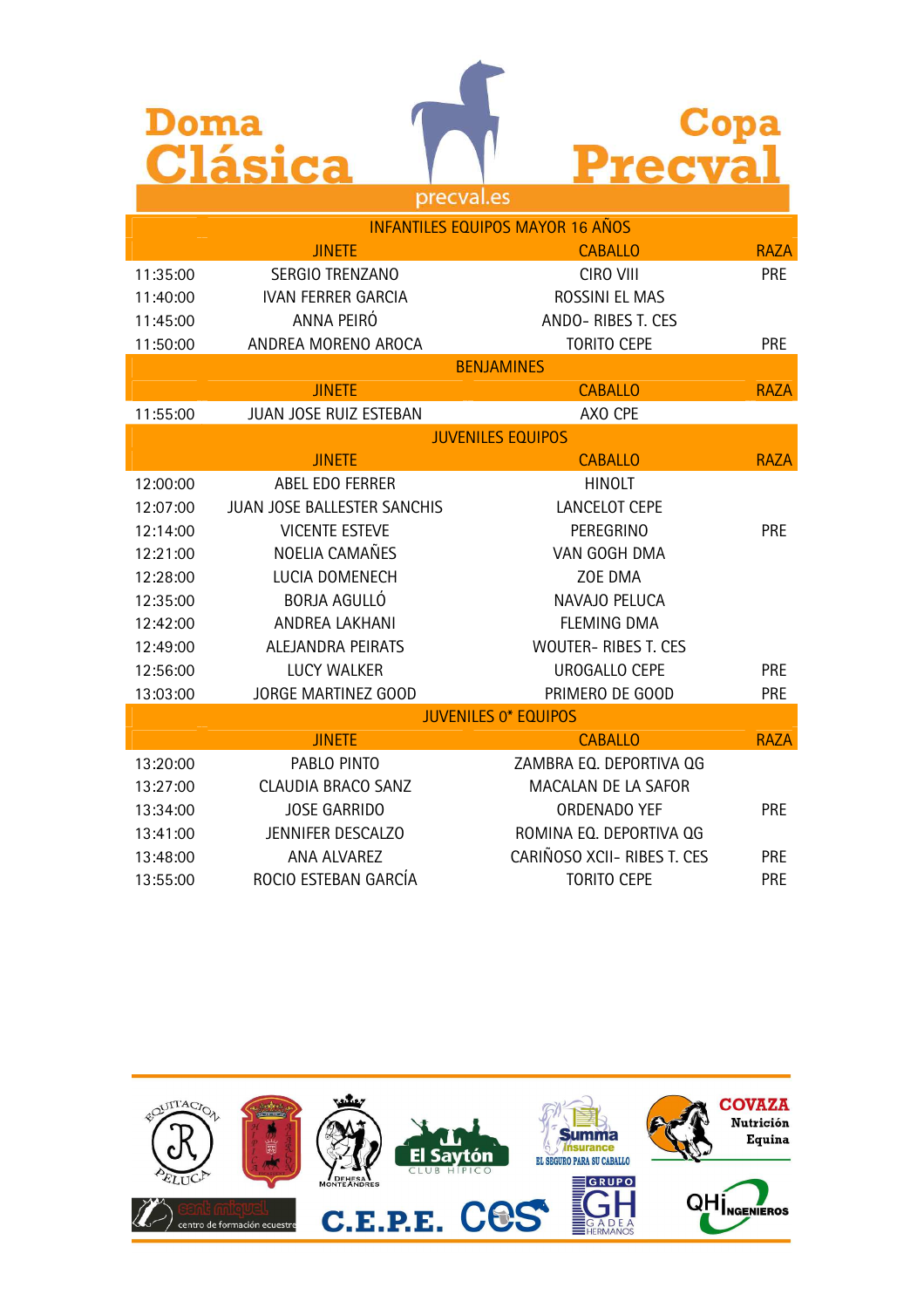| Doma     |                             |                                         |             |  |  |
|----------|-----------------------------|-----------------------------------------|-------------|--|--|
|          | Clásica                     | <b>Precva</b>                           |             |  |  |
|          | precval.es                  |                                         |             |  |  |
|          |                             | <b>INFANTILES EQUIPOS MAYOR 16 AÑOS</b> |             |  |  |
|          | <b>JINETE</b>               | <b>CABALLO</b>                          | <b>RAZA</b> |  |  |
| 11:35:00 | SERGIO TRENZANO             | CIRO VIII                               | <b>PRE</b>  |  |  |
| 11:40:00 | <b>IVAN FERRER GARCIA</b>   | ROSSINI EL MAS                          |             |  |  |
| 11:45:00 | ANNA PEIRÓ                  | ANDO-RIBES T. CES                       |             |  |  |
| 11:50:00 | ANDREA MORENO AROCA         | <b>TORITO CEPE</b>                      | <b>PRE</b>  |  |  |
|          | <b>BENJAMINES</b>           |                                         |             |  |  |
|          | <b>JINETE</b>               | <b>CABALLO</b>                          | <b>RAZA</b> |  |  |
| 11:55:00 | JUAN JOSE RUIZ ESTEBAN      | AXO CPE                                 |             |  |  |
|          | <b>JUVENILES EQUIPOS</b>    |                                         |             |  |  |
|          | <b>JINETE</b>               | <b>CABALLO</b>                          | <b>RAZA</b> |  |  |
| 12:00:00 | ABEL EDO FERRER             | <b>HINOLT</b>                           |             |  |  |
| 12:07:00 | JUAN JOSE BALLESTER SANCHIS | <b>LANCELOT CEPE</b>                    |             |  |  |
| 12:14:00 | <b>VICENTE ESTEVE</b>       | PEREGRINO                               | <b>PRE</b>  |  |  |
| 12:21:00 | NOELIA CAMAÑES              | VAN GOGH DMA                            |             |  |  |
| 12:28:00 | LUCIA DOMENECH              | ZOE DMA                                 |             |  |  |
| 12:35:00 | <b>BORJA AGULLÓ</b>         | NAVAJO PELUCA                           |             |  |  |
| 12:42:00 | ANDREA LAKHANI              | <b>FLEMING DMA</b>                      |             |  |  |
| 12:49:00 | ALEJANDRA PEIRATS           | <b>WOUTER- RIBES T. CES</b>             |             |  |  |
| 12:56:00 | <b>LUCY WALKER</b>          | <b>UROGALLO CEPE</b>                    | <b>PRE</b>  |  |  |
| 13:03:00 | <b>JORGE MARTINEZ GOOD</b>  | PRIMERO DE GOOD                         | <b>PRE</b>  |  |  |
|          |                             | <b>JUVENILES 0* EQUIPOS</b>             |             |  |  |
|          | <b>JINETE</b>               | <b>CABALLO</b>                          | <b>RAZA</b> |  |  |
| 13:20:00 | PABLO PINTO                 | ZAMBRA EQ. DEPORTIVA QG                 |             |  |  |
| 13:27:00 | <b>CLAUDIA BRACO SANZ</b>   | MACALAN DE LA SAFOR                     |             |  |  |
| 13:34:00 | <b>JOSE GARRIDO</b>         | ORDENADO YEF                            | PRE         |  |  |
| 13:41:00 | JENNIFER DESCALZO           | ROMINA EQ. DEPORTIVA QG                 |             |  |  |
| 13:48:00 | ANA ALVAREZ                 | CARIÑOSO XCII- RIBES T. CES             | <b>PRE</b>  |  |  |
| 13:55:00 | ROCIO ESTEBAN GARCÍA        | <b>TORITO CEPE</b>                      | <b>PRE</b>  |  |  |

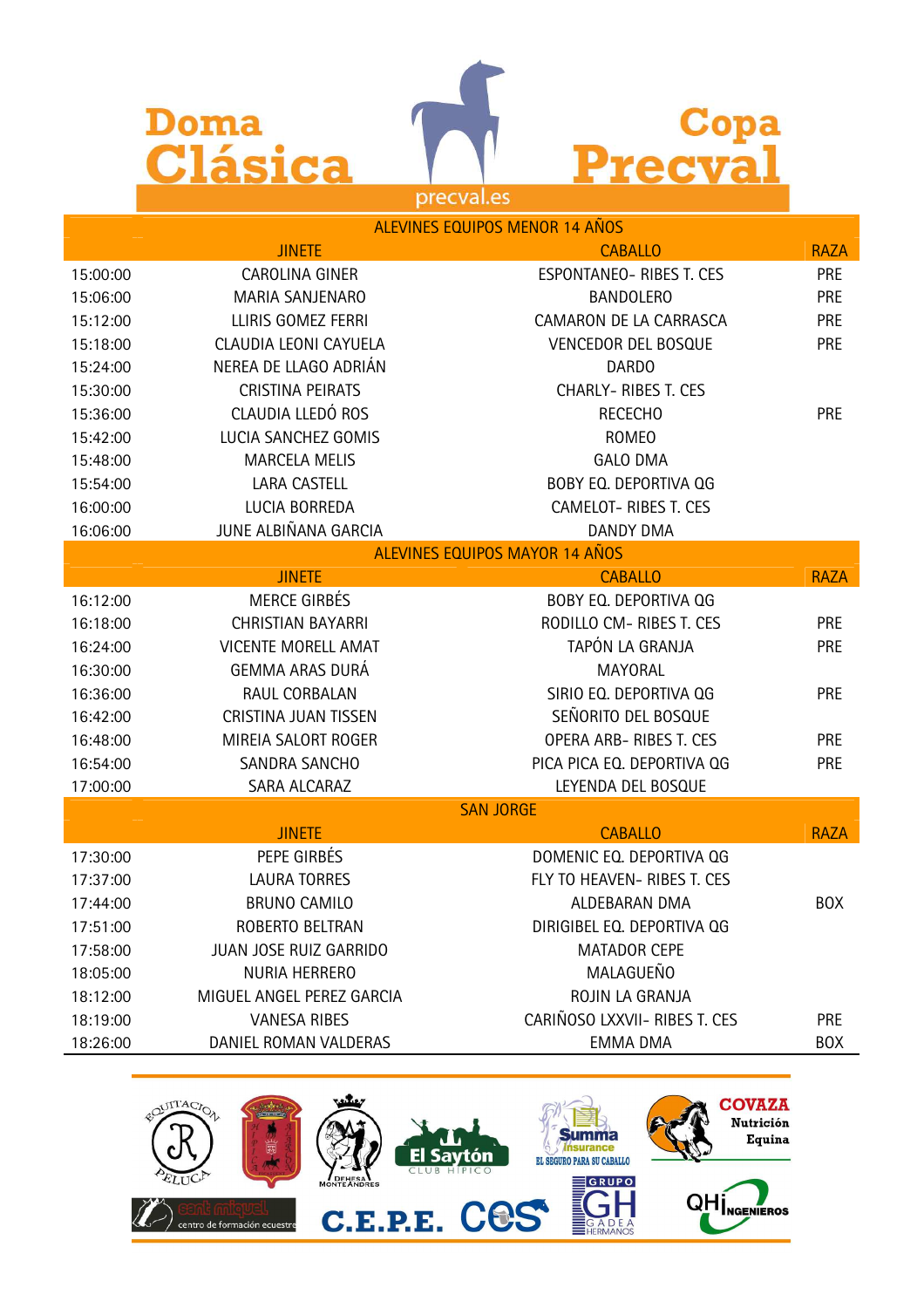



|          | ALEVINES EQUIPOS MENOR 14 AÑOS |                                       |             |  |
|----------|--------------------------------|---------------------------------------|-------------|--|
|          | <b>JINETE</b>                  | <b>CABALLO</b>                        | <b>RAZA</b> |  |
| 15:00:00 | CAROLINA GINER                 | ESPONTANEO- RIBES T. CES              | <b>PRE</b>  |  |
| 15:06:00 | MARIA SANJENARO                | <b>BANDOLERO</b>                      | <b>PRE</b>  |  |
| 15:12:00 | LLIRIS GOMEZ FERRI             | CAMARON DE LA CARRASCA                | <b>PRE</b>  |  |
| 15:18:00 | CLAUDIA LEONI CAYUELA          | VENCEDOR DEL BOSQUE                   | PRE         |  |
| 15:24:00 | NEREA DE LLAGO ADRIÁN          | <b>DARDO</b>                          |             |  |
| 15:30:00 | CRISTINA PEIRATS               | <b>CHARLY- RIBES T. CES</b>           |             |  |
| 15:36:00 | CLAUDIA LLEDÓ ROS              | <b>RECECHO</b>                        | <b>PRE</b>  |  |
| 15:42:00 | LUCIA SANCHEZ GOMIS            | <b>ROMEO</b>                          |             |  |
| 15:48:00 | <b>MARCELA MELIS</b>           | <b>GALO DMA</b>                       |             |  |
| 15:54:00 | LARA CASTELL                   | BOBY EQ. DEPORTIVA QG                 |             |  |
| 16:00:00 | LUCIA BORREDA                  | CAMELOT-RIBES T. CES                  |             |  |
| 16:06:00 | JUNE ALBIÑANA GARCIA           | <b>DANDY DMA</b>                      |             |  |
|          |                                | <b>ALEVINES EQUIPOS MAYOR 14 AÑOS</b> |             |  |
|          | <b>JINETE</b>                  | <b>CABALLO</b>                        | <b>RAZA</b> |  |
| 16:12:00 | <b>MERCE GIRBÉS</b>            | BOBY EQ. DEPORTIVA QG                 |             |  |
| 16:18:00 | <b>CHRISTIAN BAYARRI</b>       | RODILLO CM-RIBES T. CES               | <b>PRE</b>  |  |
| 16:24:00 | <b>VICENTE MORELL AMAT</b>     | TAPÓN LA GRANJA                       | <b>PRE</b>  |  |
| 16:30:00 | <b>GEMMA ARAS DURÁ</b>         | MAYORAL                               |             |  |
| 16:36:00 | RAUL CORBALAN                  | SIRIO EQ. DEPORTIVA QG                | <b>PRE</b>  |  |
| 16:42:00 | CRISTINA JUAN TISSEN           | SEÑORITO DEL BOSQUE                   |             |  |
| 16:48:00 | MIREIA SALORT ROGER            | OPERA ARB-RIBES T. CES                | <b>PRE</b>  |  |
| 16:54:00 | SANDRA SANCHO                  | PICA PICA EQ. DEPORTIVA QG            | <b>PRE</b>  |  |
| 17:00:00 | SARA ALCARAZ                   | LEYENDA DEL BOSQUE                    |             |  |
|          | <b>SAN JORGE</b>               |                                       |             |  |
|          | <b>JINETE</b>                  | <b>CABALLO</b>                        | <b>RAZA</b> |  |
| 17:30:00 | PEPE GIRBÉS                    | DOMENIC EQ. DEPORTIVA QG              |             |  |
| 17:37:00 | <b>LAURA TORRES</b>            | FLY TO HEAVEN- RIBES T. CES           |             |  |
| 17:44:00 | <b>BRUNO CAMILO</b>            | ALDEBARAN DMA                         | <b>BOX</b>  |  |
| 17:51:00 | ROBERTO BELTRAN                | DIRIGIBEL EQ. DEPORTIVA QG            |             |  |
| 17:58:00 | JUAN JOSE RUIZ GARRIDO         | <b>MATADOR CEPE</b>                   |             |  |
| 18:05:00 | NURIA HERRERO                  | MALAGUEÑO                             |             |  |
| 18:12:00 | MIGUEL ANGEL PEREZ GARCIA      | ROJIN LA GRANJA                       |             |  |
| 18:19:00 | <b>VANESA RIBES</b>            | CARIÑOSO LXXVII- RIBES T. CES         | <b>PRE</b>  |  |
| 18:26:00 | DANIEL ROMAN VALDERAS          | <b>EMMA DMA</b>                       | <b>BOX</b>  |  |